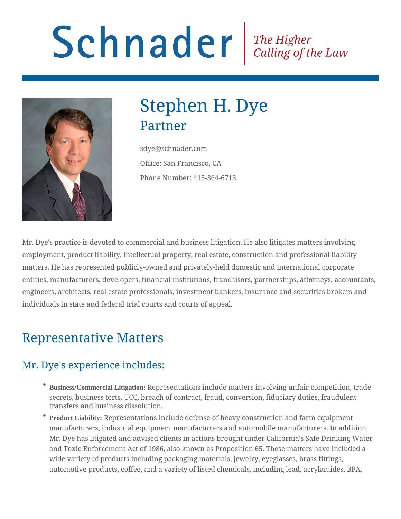# Schnader Fine Higher Calling of the Law



## Stephen H. Dye Partner

sdye@schnader.com Office: San Francisco, CA Phone Number: 415-364-6713

Mr. Dye's practice is devoted to commercial and business litigation. He also litigates matters involving employment, product liability, intellectual property, real estate, construction and professional liability matters. He has represented publicly-owned and privately-held domestic and international corporate entities, manufacturers, developers, financial institutions, franchisors, partnerships, attorneys, accountants, engineers, architects, real estate professionals, investment bankers, insurance and securities brokers and individuals in state and federal trial courts and courts of appeal.

#### Representative Matters

#### Mr. Dye's experience includes:

- **Business/Commercial Litigation:** Representations include matters involving unfair competition, trade secrets, business torts, UCC, breach of contract, fraud, conversion, fiduciary duties, fraudulent transfers and business dissolution.
- **Product Liability:** Representations include defense of heavy construction and farm equipment manufacturers, industrial equipment manufacturers and automobile manufacturers. In addition, Mr. Dye has litigated and advised clients in actions brought under California's Safe Drinking Water and Toxic Enforcement Act of 1986, also known as Proposition 65. These matters have included a wide variety of products including packaging materials, jewelry, eyeglasses, brass fittings, automotive products, coffee, and a variety of listed chemicals, including lead, acrylamides, BPA,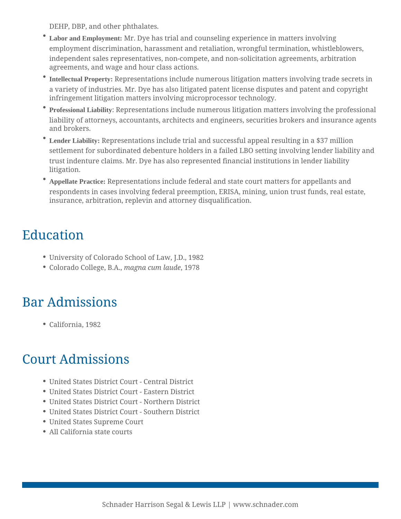DEHP, DBP, and other phthalates.

- **Labor and Employment:** Mr. Dye has trial and counseling experience in matters involving employment discrimination, harassment and retaliation, wrongful termination, whistleblowers, independent sales representatives, non-compete, and non-solicitation agreements, arbitration agreements, and wage and hour class actions.
- **Intellectual Property:** Representations include numerous litigation matters involving trade secrets in a variety of industries. Mr. Dye has also litigated patent license disputes and patent and copyright infringement litigation matters involving microprocessor technology.
- **Professional Liability**: Representations include numerous litigation matters involving the professional liability of attorneys, accountants, architects and engineers, securities brokers and insurance agents and brokers.
- **Lender Liability:** Representations include trial and successful appeal resulting in a \$37 million settlement for subordinated debenture holders in a failed LBO setting involving lender liability and trust indenture claims. Mr. Dye has also represented financial institutions in lender liability litigation.
- **Appellate Practice:** Representations include federal and state court matters for appellants and respondents in cases involving federal preemption, ERISA, mining, union trust funds, real estate, insurance, arbitration, replevin and attorney disqualification.

## Education

- University of Colorado School of Law, J.D., 1982
- Colorado College, B.A., *magna cum laude*, 1978

## Bar Admissions

California, 1982

#### Court Admissions

- United States District Court Central District
- United States District Court Eastern District
- United States District Court Northern District
- United States District Court Southern District
- United States Supreme Court
- All California state courts